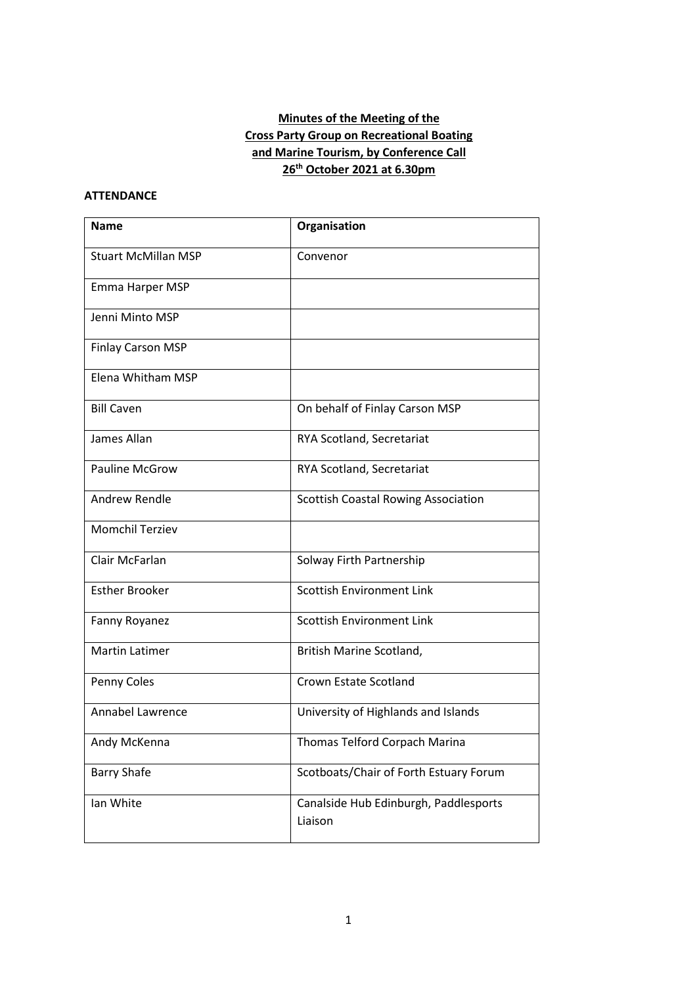# **Minutes of the Meeting of the Cross Party Group on Recreational Boating and Marine Tourism, by Conference Call 26th October 2021 at 6.30pm**

### **ATTENDANCE**

| <b>Name</b>                | Organisation                                     |
|----------------------------|--------------------------------------------------|
| <b>Stuart McMillan MSP</b> | Convenor                                         |
| Emma Harper MSP            |                                                  |
| Jenni Minto MSP            |                                                  |
| <b>Finlay Carson MSP</b>   |                                                  |
| Elena Whitham MSP          |                                                  |
| <b>Bill Caven</b>          | On behalf of Finlay Carson MSP                   |
| James Allan                | RYA Scotland, Secretariat                        |
| <b>Pauline McGrow</b>      | RYA Scotland, Secretariat                        |
| <b>Andrew Rendle</b>       | <b>Scottish Coastal Rowing Association</b>       |
| <b>Momchil Terziev</b>     |                                                  |
| Clair McFarlan             | Solway Firth Partnership                         |
| <b>Esther Brooker</b>      | <b>Scottish Environment Link</b>                 |
| Fanny Royanez              | <b>Scottish Environment Link</b>                 |
| <b>Martin Latimer</b>      | British Marine Scotland,                         |
| Penny Coles                | Crown Estate Scotland                            |
| <b>Annabel Lawrence</b>    | University of Highlands and Islands              |
| Andy McKenna               | Thomas Telford Corpach Marina                    |
| <b>Barry Shafe</b>         | Scotboats/Chair of Forth Estuary Forum           |
| Ian White                  | Canalside Hub Edinburgh, Paddlesports<br>Liaison |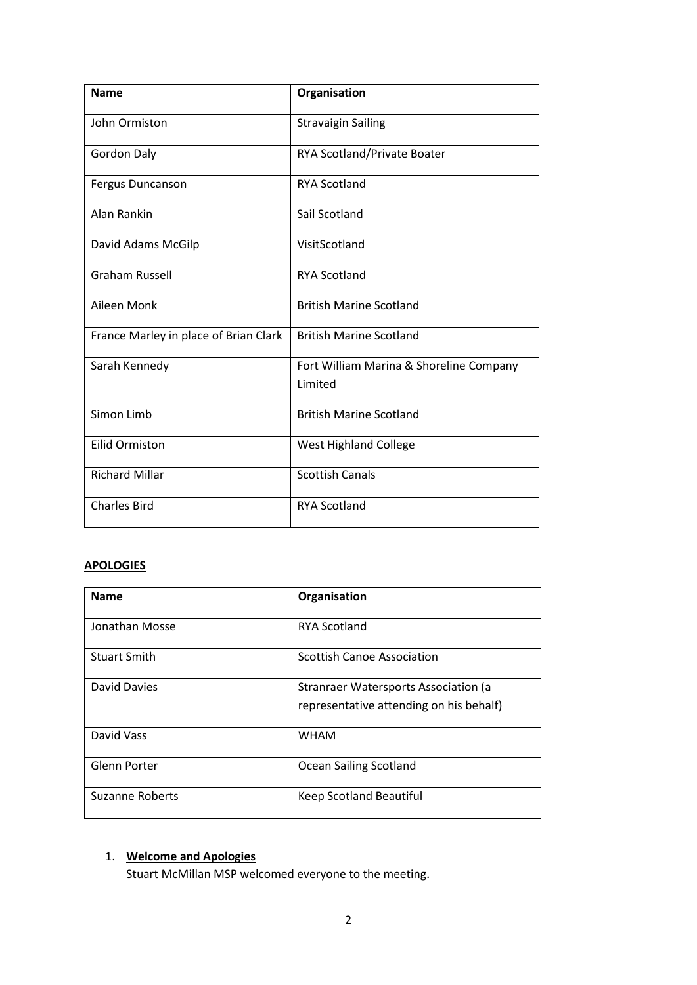| <b>Name</b>                           | Organisation                                       |
|---------------------------------------|----------------------------------------------------|
| John Ormiston                         | <b>Stravaigin Sailing</b>                          |
| <b>Gordon Daly</b>                    | RYA Scotland/Private Boater                        |
| Fergus Duncanson                      | <b>RYA Scotland</b>                                |
| Alan Rankin                           | Sail Scotland                                      |
| David Adams McGilp                    | VisitScotland                                      |
| <b>Graham Russell</b>                 | <b>RYA Scotland</b>                                |
| Aileen Monk                           | <b>British Marine Scotland</b>                     |
| France Marley in place of Brian Clark | <b>British Marine Scotland</b>                     |
| Sarah Kennedy                         | Fort William Marina & Shoreline Company<br>Limited |
| Simon Limb                            | <b>British Marine Scotland</b>                     |
| <b>Eilid Ormiston</b>                 | <b>West Highland College</b>                       |
| <b>Richard Millar</b>                 | <b>Scottish Canals</b>                             |
| <b>Charles Bird</b>                   | <b>RYA Scotland</b>                                |

# **APOLOGIES**

| <b>Name</b>            | Organisation                                                                    |
|------------------------|---------------------------------------------------------------------------------|
| Jonathan Mosse         | <b>RYA Scotland</b>                                                             |
| <b>Stuart Smith</b>    | <b>Scottish Canoe Association</b>                                               |
| David Davies           | Stranraer Watersports Association (a<br>representative attending on his behalf) |
| David Vass             | <b>WHAM</b>                                                                     |
| Glenn Porter           | Ocean Sailing Scotland                                                          |
| <b>Suzanne Roberts</b> | Keep Scotland Beautiful                                                         |

# 1. **Welcome and Apologies**

Stuart McMillan MSP welcomed everyone to the meeting.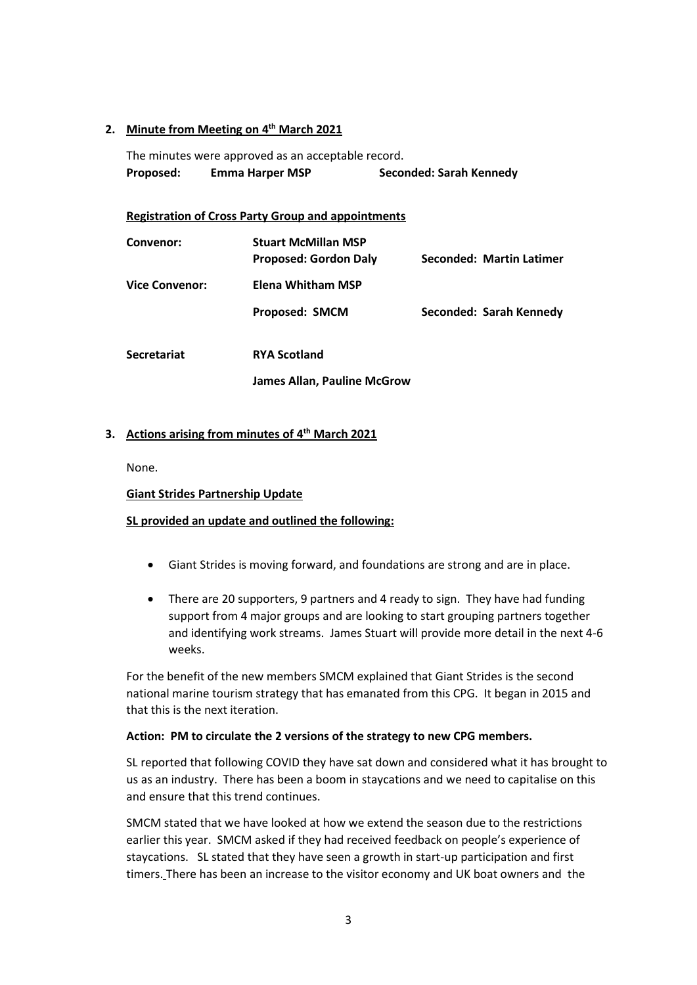# **2. Minute from Meeting on 4 th March 2021**

The minutes were approved as an acceptable record. **Proposed: Emma Harper MSP Seconded: Sarah Kennedy**

#### **Registration of Cross Party Group and appointments**

| Convenor:      | <b>Stuart McMillan MSP</b><br><b>Proposed: Gordon Daly</b> | Seconded: Martin Latimer |
|----------------|------------------------------------------------------------|--------------------------|
| Vice Convenor: | Elena Whitham MSP                                          |                          |
|                | <b>Proposed: SMCM</b>                                      | Seconded: Sarah Kennedy  |
| Secretariat    | <b>RYA Scotland</b>                                        |                          |

**James Allan, Pauline McGrow**

### **3. Actions arising from minutes of 4 th March 2021**

None.

#### **Giant Strides Partnership Update**

# **SL provided an update and outlined the following:**

- Giant Strides is moving forward, and foundations are strong and are in place.
- There are 20 supporters, 9 partners and 4 ready to sign. They have had funding support from 4 major groups and are looking to start grouping partners together and identifying work streams. James Stuart will provide more detail in the next 4-6 weeks.

For the benefit of the new members SMCM explained that Giant Strides is the second national marine tourism strategy that has emanated from this CPG. It began in 2015 and that this is the next iteration.

#### **Action: PM to circulate the 2 versions of the strategy to new CPG members.**

SL reported that following COVID they have sat down and considered what it has brought to us as an industry. There has been a boom in staycations and we need to capitalise on this and ensure that this trend continues.

SMCM stated that we have looked at how we extend the season due to the restrictions earlier this year. SMCM asked if they had received feedback on people's experience of staycations. SL stated that they have seen a growth in start-up participation and first timers. There has been an increase to the visitor economy and UK boat owners and the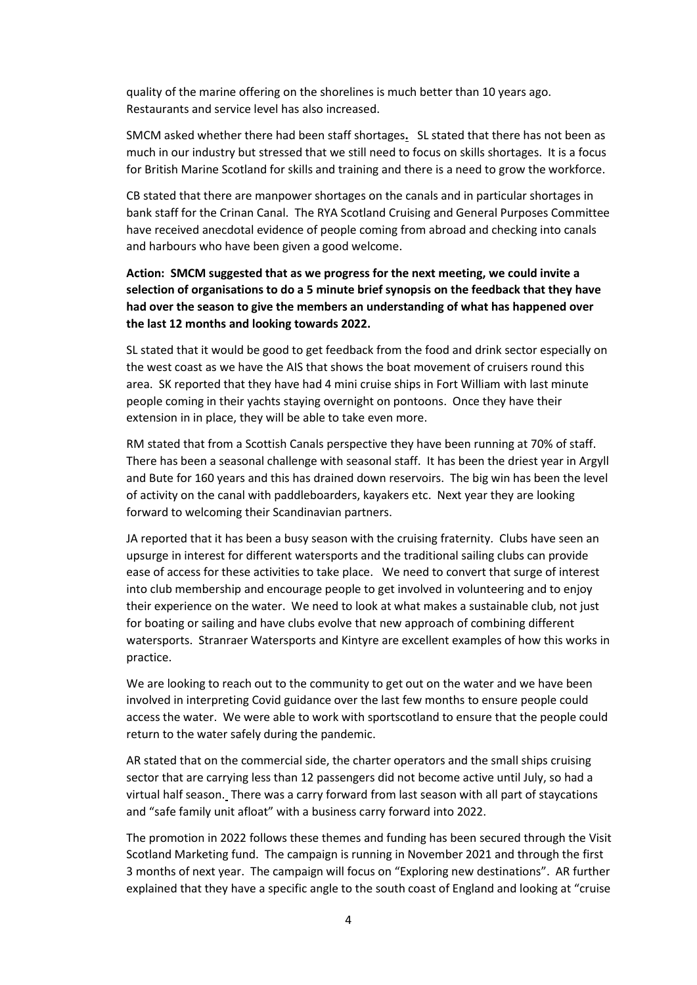quality of the marine offering on the shorelines is much better than 10 years ago. Restaurants and service level has also increased.

SMCM asked whether there had been staff shortages**.** SL stated that there has not been as much in our industry but stressed that we still need to focus on skills shortages. It is a focus for British Marine Scotland for skills and training and there is a need to grow the workforce.

CB stated that there are manpower shortages on the canals and in particular shortages in bank staff for the Crinan Canal. The RYA Scotland Cruising and General Purposes Committee have received anecdotal evidence of people coming from abroad and checking into canals and harbours who have been given a good welcome.

**Action: SMCM suggested that as we progress for the next meeting, we could invite a selection of organisations to do a 5 minute brief synopsis on the feedback that they have had over the season to give the members an understanding of what has happened over the last 12 months and looking towards 2022.**

SL stated that it would be good to get feedback from the food and drink sector especially on the west coast as we have the AIS that shows the boat movement of cruisers round this area. SK reported that they have had 4 mini cruise ships in Fort William with last minute people coming in their yachts staying overnight on pontoons. Once they have their extension in in place, they will be able to take even more.

RM stated that from a Scottish Canals perspective they have been running at 70% of staff. There has been a seasonal challenge with seasonal staff. It has been the driest year in Argyll and Bute for 160 years and this has drained down reservoirs. The big win has been the level of activity on the canal with paddleboarders, kayakers etc. Next year they are looking forward to welcoming their Scandinavian partners.

JA reported that it has been a busy season with the cruising fraternity. Clubs have seen an upsurge in interest for different watersports and the traditional sailing clubs can provide ease of access for these activities to take place. We need to convert that surge of interest into club membership and encourage people to get involved in volunteering and to enjoy their experience on the water. We need to look at what makes a sustainable club, not just for boating or sailing and have clubs evolve that new approach of combining different watersports. Stranraer Watersports and Kintyre are excellent examples of how this works in practice.

We are looking to reach out to the community to get out on the water and we have been involved in interpreting Covid guidance over the last few months to ensure people could access the water. We were able to work with sportscotland to ensure that the people could return to the water safely during the pandemic.

AR stated that on the commercial side, the charter operators and the small ships cruising sector that are carrying less than 12 passengers did not become active until July, so had a virtual half season. There was a carry forward from last season with all part of staycations and "safe family unit afloat" with a business carry forward into 2022.

The promotion in 2022 follows these themes and funding has been secured through the Visit Scotland Marketing fund. The campaign is running in November 2021 and through the first 3 months of next year. The campaign will focus on "Exploring new destinations". AR further explained that they have a specific angle to the south coast of England and looking at "cruise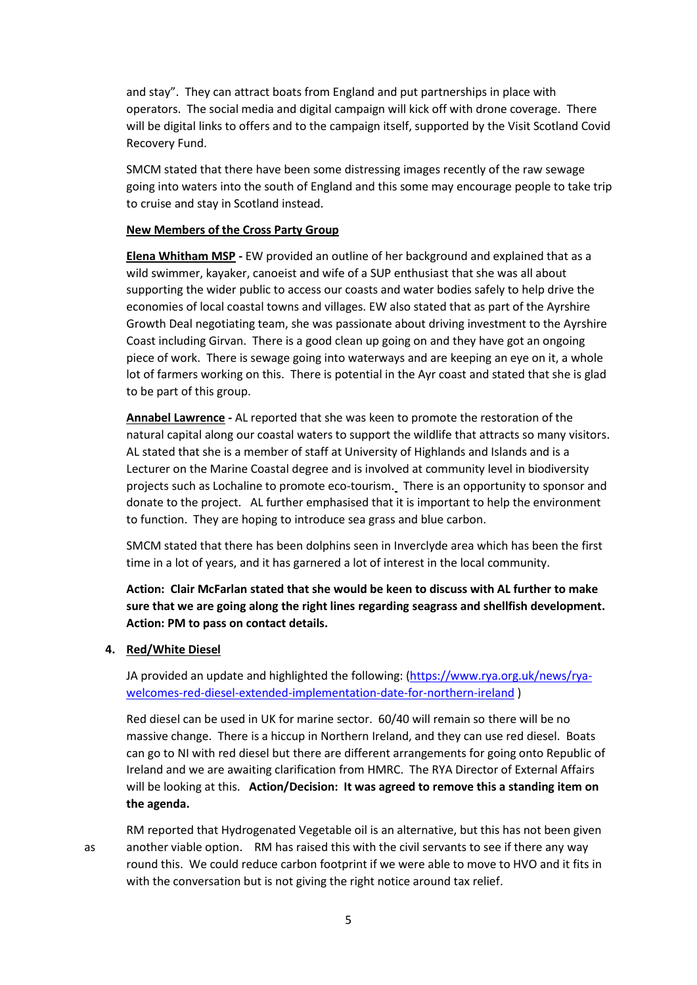and stay". They can attract boats from England and put partnerships in place with operators. The social media and digital campaign will kick off with drone coverage. There will be digital links to offers and to the campaign itself, supported by the Visit Scotland Covid Recovery Fund.

SMCM stated that there have been some distressing images recently of the raw sewage going into waters into the south of England and this some may encourage people to take trip to cruise and stay in Scotland instead.

#### **New Members of the Cross Party Group**

**Elena Whitham MSP -** EW provided an outline of her background and explained that as a wild swimmer, kayaker, canoeist and wife of a SUP enthusiast that she was all about supporting the wider public to access our coasts and water bodies safely to help drive the economies of local coastal towns and villages. EW also stated that as part of the Ayrshire Growth Deal negotiating team, she was passionate about driving investment to the Ayrshire Coast including Girvan. There is a good clean up going on and they have got an ongoing piece of work. There is sewage going into waterways and are keeping an eye on it, a whole lot of farmers working on this. There is potential in the Ayr coast and stated that she is glad to be part of this group.

**Annabel Lawrence -** AL reported that she was keen to promote the restoration of the natural capital along our coastal waters to support the wildlife that attracts so many visitors. AL stated that she is a member of staff at University of Highlands and Islands and is a Lecturer on the Marine Coastal degree and is involved at community level in biodiversity projects such as Lochaline to promote eco-tourism. There is an opportunity to sponsor and donate to the project. AL further emphasised that it is important to help the environment to function. They are hoping to introduce sea grass and blue carbon.

SMCM stated that there has been dolphins seen in Inverclyde area which has been the first time in a lot of years, and it has garnered a lot of interest in the local community.

**Action: Clair McFarlan stated that she would be keen to discuss with AL further to make sure that we are going along the right lines regarding seagrass and shellfish development. Action: PM to pass on contact details.**

#### **4. Red/White Diesel**

JA provided an update and highlighted the following: [\(https://www.rya.org.uk/news/rya](https://www.rya.org.uk/news/rya-welcomes-red-diesel-extended-implementation-date-for-northern-ireland)[welcomes-red-diesel-extended-implementation-date-for-northern-ireland](https://www.rya.org.uk/news/rya-welcomes-red-diesel-extended-implementation-date-for-northern-ireland) )

Red diesel can be used in UK for marine sector. 60/40 will remain so there will be no massive change. There is a hiccup in Northern Ireland, and they can use red diesel. Boats can go to NI with red diesel but there are different arrangements for going onto Republic of Ireland and we are awaiting clarification from HMRC. The RYA Director of External Affairs will be looking at this. **Action/Decision: It was agreed to remove this a standing item on the agenda.**

RM reported that Hydrogenated Vegetable oil is an alternative, but this has not been given as another viable option. RM has raised this with the civil servants to see if there any way round this. We could reduce carbon footprint if we were able to move to HVO and it fits in with the conversation but is not giving the right notice around tax relief.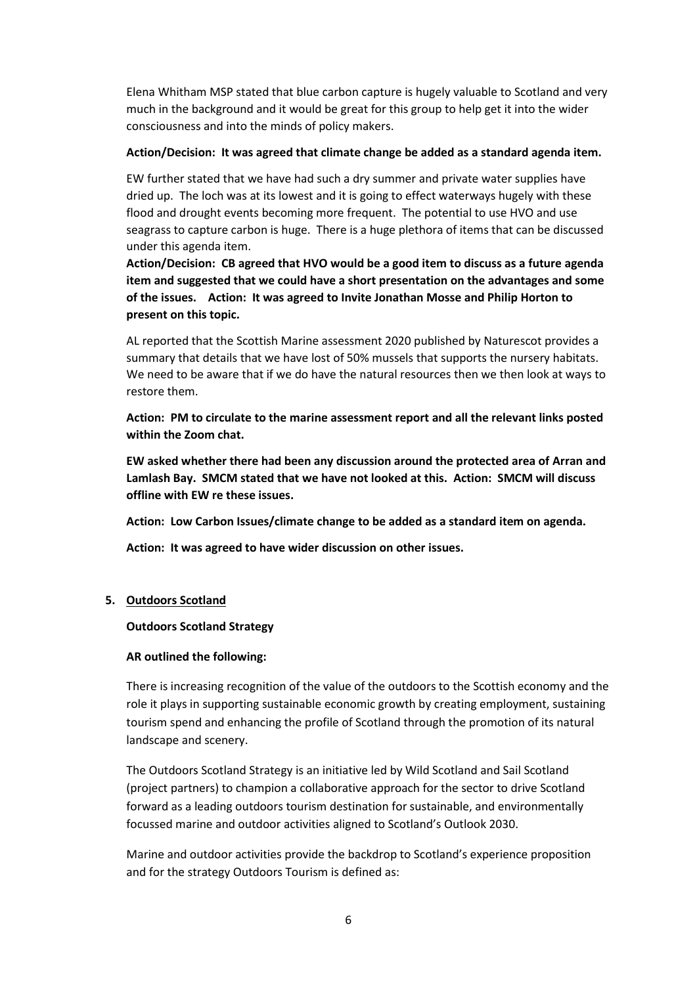Elena Whitham MSP stated that blue carbon capture is hugely valuable to Scotland and very much in the background and it would be great for this group to help get it into the wider consciousness and into the minds of policy makers.

#### **Action/Decision: It was agreed that climate change be added as a standard agenda item.**

EW further stated that we have had such a dry summer and private water supplies have dried up. The loch was at its lowest and it is going to effect waterways hugely with these flood and drought events becoming more frequent. The potential to use HVO and use seagrass to capture carbon is huge. There is a huge plethora of items that can be discussed under this agenda item.

**Action/Decision: CB agreed that HVO would be a good item to discuss as a future agenda item and suggested that we could have a short presentation on the advantages and some of the issues. Action: It was agreed to Invite Jonathan Mosse and Philip Horton to present on this topic.** 

AL reported that the Scottish Marine assessment 2020 published by Naturescot provides a summary that details that we have lost of 50% mussels that supports the nursery habitats. We need to be aware that if we do have the natural resources then we then look at ways to restore them.

**Action: PM to circulate to the marine assessment report and all the relevant links posted within the Zoom chat.**

**EW asked whether there had been any discussion around the protected area of Arran and Lamlash Bay. SMCM stated that we have not looked at this. Action: SMCM will discuss offline with EW re these issues.**

**Action: Low Carbon Issues/climate change to be added as a standard item on agenda.** 

**Action: It was agreed to have wider discussion on other issues.**

#### **5. Outdoors Scotland**

#### **Outdoors Scotland Strategy**

#### **AR outlined the following:**

There is increasing recognition of the value of the outdoors to the Scottish economy and the role it plays in supporting sustainable economic growth by creating employment, sustaining tourism spend and enhancing the profile of Scotland through the promotion of its natural landscape and scenery.

The Outdoors Scotland Strategy is an initiative led by Wild Scotland and Sail Scotland (project partners) to champion a collaborative approach for the sector to drive Scotland forward as a leading outdoors tourism destination for sustainable, and environmentally focussed marine and outdoor activities aligned to Scotland's Outlook 2030.

Marine and outdoor activities provide the backdrop to Scotland's experience proposition and for the strategy Outdoors Tourism is defined as: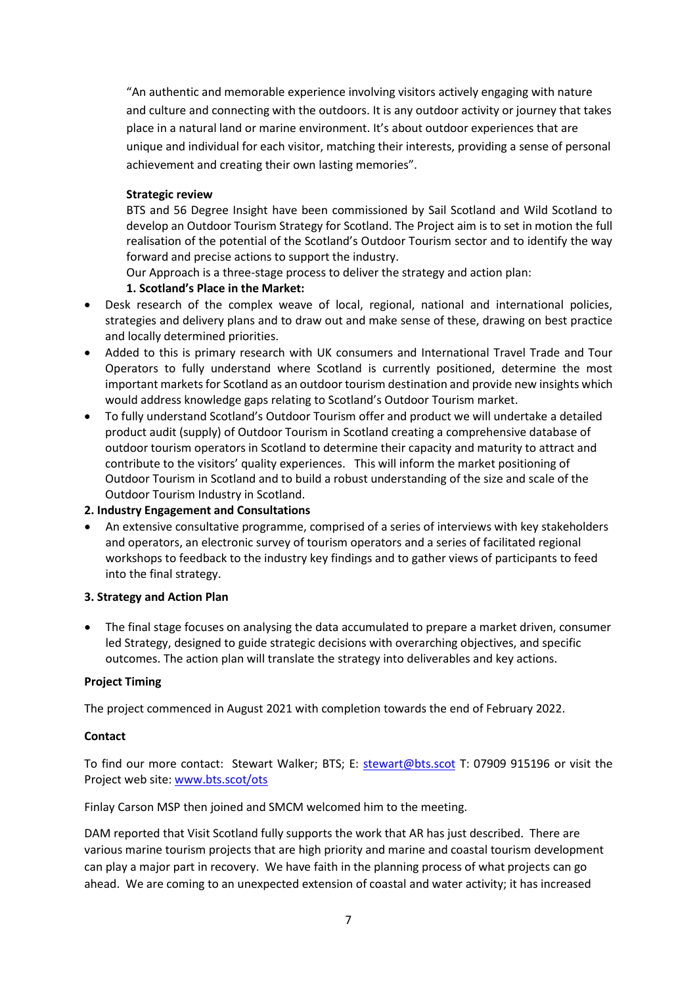"An authentic and memorable experience involving visitors actively engaging with nature and culture and connecting with the outdoors. It is any outdoor activity or journey that takes place in a natural land or marine environment. It's about outdoor experiences that are unique and individual for each visitor, matching their interests, providing a sense of personal achievement and creating their own lasting memories".

### **Strategic review**

BTS and 56 Degree Insight have been commissioned by Sail Scotland and Wild Scotland to develop an Outdoor Tourism Strategy for Scotland. The Project aim is to set in motion the full realisation of the potential of the Scotland's Outdoor Tourism sector and to identify the way forward and precise actions to support the industry.

Our Approach is a three-stage process to deliver the strategy and action plan:

# **1. Scotland's Place in the Market:**

- Desk research of the complex weave of local, regional, national and international policies, strategies and delivery plans and to draw out and make sense of these, drawing on best practice and locally determined priorities.
- Added to this is primary research with UK consumers and International Travel Trade and Tour Operators to fully understand where Scotland is currently positioned, determine the most important markets for Scotland as an outdoor tourism destination and provide new insights which would address knowledge gaps relating to Scotland's Outdoor Tourism market.
- To fully understand Scotland's Outdoor Tourism offer and product we will undertake a detailed product audit (supply) of Outdoor Tourism in Scotland creating a comprehensive database of outdoor tourism operators in Scotland to determine their capacity and maturity to attract and contribute to the visitors' quality experiences. This will inform the market positioning of Outdoor Tourism in Scotland and to build a robust understanding of the size and scale of the Outdoor Tourism Industry in Scotland.

# **2. Industry Engagement and Consultations**

• An extensive consultative programme, comprised of a series of interviews with key stakeholders and operators, an electronic survey of tourism operators and a series of facilitated regional workshops to feedback to the industry key findings and to gather views of participants to feed into the final strategy.

# **3. Strategy and Action Plan**

• The final stage focuses on analysing the data accumulated to prepare a market driven, consumer led Strategy, designed to guide strategic decisions with overarching objectives, and specific outcomes. The action plan will translate the strategy into deliverables and key actions.

# **Project Timing**

The project commenced in August 2021 with completion towards the end of February 2022.

# **Contact**

To find our more contact: Stewart Walker; BTS; E: [stewart@bts.scot](mailto:stewart@bts.scot) T: 07909 915196 or visit the Project web site: [www.bts.scot/ots](http://www.bts.scot/ots) 

Finlay Carson MSP then joined and SMCM welcomed him to the meeting.

DAM reported that Visit Scotland fully supports the work that AR has just described. There are various marine tourism projects that are high priority and marine and coastal tourism development can play a major part in recovery. We have faith in the planning process of what projects can go ahead. We are coming to an unexpected extension of coastal and water activity; it has increased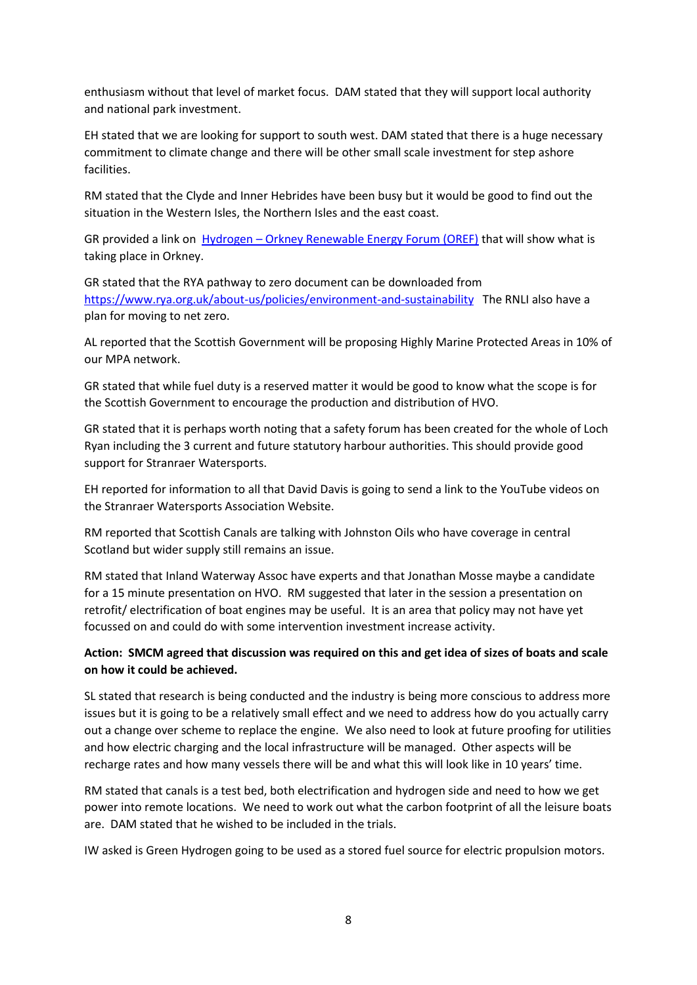enthusiasm without that level of market focus. DAM stated that they will support local authority and national park investment.

EH stated that we are looking for support to south west. DAM stated that there is a huge necessary commitment to climate change and there will be other small scale investment for step ashore facilities.

RM stated that the Clyde and Inner Hebrides have been busy but it would be good to find out the situation in the Western Isles, the Northern Isles and the east coast.

GR provided a link on Hydrogen – [Orkney Renewable Energy Forum \(OREF\)](https://www.oref.co.uk/orkneys-energy/hydrogen/#:~:text=The%20Orkney%20Hydrogen%20Strategy%20sets%20the%20ambition%20to,sustainable%20development%20goals.%20Hydrogen%20in%20the%20wider%20context) that will show what is taking place in Orkney.

GR stated that the RYA pathway to zero document can be downloaded from <https://www.rya.org.uk/about-us/policies/environment-and-sustainability> The RNLI also have a plan for moving to net zero.

AL reported that the Scottish Government will be proposing Highly Marine Protected Areas in 10% of our MPA network.

GR stated that while fuel duty is a reserved matter it would be good to know what the scope is for the Scottish Government to encourage the production and distribution of HVO.

GR stated that it is perhaps worth noting that a safety forum has been created for the whole of Loch Ryan including the 3 current and future statutory harbour authorities. This should provide good support for Stranraer Watersports.

EH reported for information to all that David Davis is going to send a link to the YouTube videos on the Stranraer Watersports Association Website.

RM reported that Scottish Canals are talking with Johnston Oils who have coverage in central Scotland but wider supply still remains an issue.

RM stated that Inland Waterway Assoc have experts and that Jonathan Mosse maybe a candidate for a 15 minute presentation on HVO. RM suggested that later in the session a presentation on retrofit/ electrification of boat engines may be useful. It is an area that policy may not have yet focussed on and could do with some intervention investment increase activity.

# **Action: SMCM agreed that discussion was required on this and get idea of sizes of boats and scale on how it could be achieved.**

SL stated that research is being conducted and the industry is being more conscious to address more issues but it is going to be a relatively small effect and we need to address how do you actually carry out a change over scheme to replace the engine. We also need to look at future proofing for utilities and how electric charging and the local infrastructure will be managed. Other aspects will be recharge rates and how many vessels there will be and what this will look like in 10 years' time.

RM stated that canals is a test bed, both electrification and hydrogen side and need to how we get power into remote locations. We need to work out what the carbon footprint of all the leisure boats are. DAM stated that he wished to be included in the trials.

IW asked is Green Hydrogen going to be used as a stored fuel source for electric propulsion motors.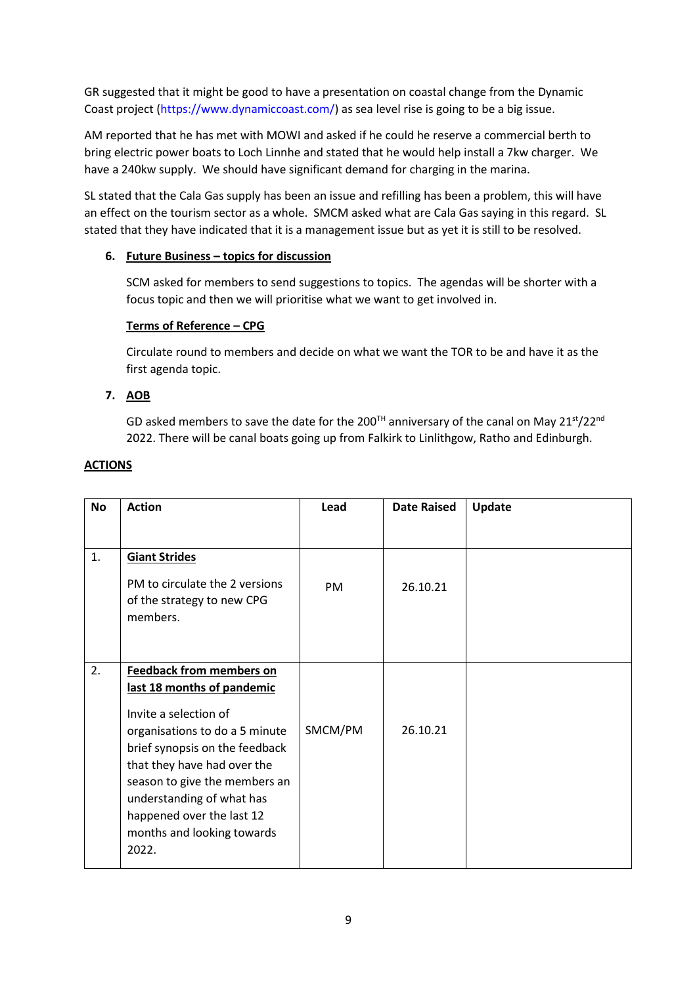GR suggested that it might be good to have a presentation on coastal change from the Dynamic Coast project [\(https://www.dynamiccoast.com/\)](https://www.dynamiccoast.com/) as sea level rise is going to be a big issue.

AM reported that he has met with MOWI and asked if he could he reserve a commercial berth to bring electric power boats to Loch Linnhe and stated that he would help install a 7kw charger. We have a 240kw supply. We should have significant demand for charging in the marina.

SL stated that the Cala Gas supply has been an issue and refilling has been a problem, this will have an effect on the tourism sector as a whole. SMCM asked what are Cala Gas saying in this regard. SL stated that they have indicated that it is a management issue but as yet it is still to be resolved.

# **6. Future Business – topics for discussion**

SCM asked for members to send suggestions to topics. The agendas will be shorter with a focus topic and then we will prioritise what we want to get involved in.

### **Terms of Reference – CPG**

Circulate round to members and decide on what we want the TOR to be and have it as the first agenda topic.

# **7. AOB**

GD asked members to save the date for the 200<sup>TH</sup> anniversary of the canal on May 21<sup>st</sup>/22<sup>nd</sup> 2022. There will be canal boats going up from Falkirk to Linlithgow, Ratho and Edinburgh.

| <b>No</b> | <b>Action</b>                                                                                                                                                                                                                                              | Lead      | <b>Date Raised</b> | Update |
|-----------|------------------------------------------------------------------------------------------------------------------------------------------------------------------------------------------------------------------------------------------------------------|-----------|--------------------|--------|
|           |                                                                                                                                                                                                                                                            |           |                    |        |
| 1.        | <b>Giant Strides</b>                                                                                                                                                                                                                                       |           |                    |        |
|           | PM to circulate the 2 versions<br>of the strategy to new CPG<br>members.                                                                                                                                                                                   | <b>PM</b> | 26.10.21           |        |
| 2.        | <b>Feedback from members on</b>                                                                                                                                                                                                                            |           |                    |        |
|           | last 18 months of pandemic                                                                                                                                                                                                                                 |           |                    |        |
|           | Invite a selection of<br>organisations to do a 5 minute<br>brief synopsis on the feedback<br>that they have had over the<br>season to give the members an<br>understanding of what has<br>happened over the last 12<br>months and looking towards<br>2022. | SMCM/PM   | 26.10.21           |        |

### **ACTIONS**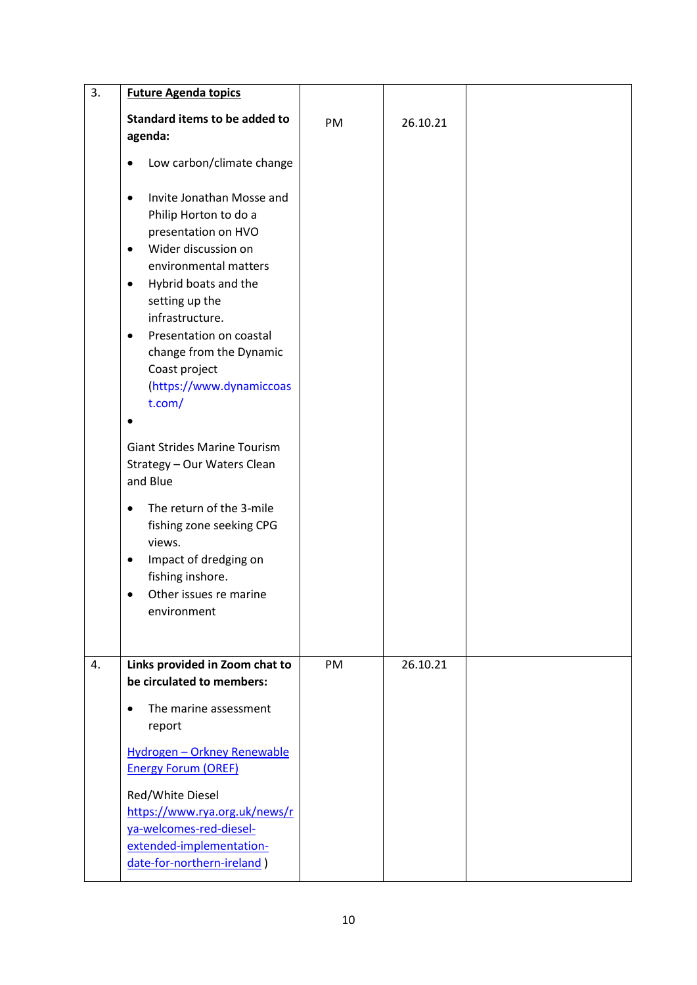| 3. | <b>Future Agenda topics</b>                                                                                                                                                                                                                                                                                                                             |    |          |  |
|----|---------------------------------------------------------------------------------------------------------------------------------------------------------------------------------------------------------------------------------------------------------------------------------------------------------------------------------------------------------|----|----------|--|
|    | Standard items to be added to<br>agenda:                                                                                                                                                                                                                                                                                                                | PM | 26.10.21 |  |
|    | Low carbon/climate change<br>$\bullet$                                                                                                                                                                                                                                                                                                                  |    |          |  |
|    | Invite Jonathan Mosse and<br>$\bullet$<br>Philip Horton to do a<br>presentation on HVO<br>Wider discussion on<br>$\bullet$<br>environmental matters<br>Hybrid boats and the<br>$\bullet$<br>setting up the<br>infrastructure.<br>Presentation on coastal<br>$\bullet$<br>change from the Dynamic<br>Coast project<br>(https://www.dynamiccoas<br>t.com/ |    |          |  |
|    | <b>Giant Strides Marine Tourism</b><br>Strategy - Our Waters Clean<br>and Blue                                                                                                                                                                                                                                                                          |    |          |  |
|    | The return of the 3-mile<br>$\bullet$<br>fishing zone seeking CPG<br>views.<br>Impact of dredging on<br>٠<br>fishing inshore.<br>Other issues re marine<br>environment                                                                                                                                                                                  |    |          |  |
| 4. | Links provided in Zoom chat to<br>be circulated to members:                                                                                                                                                                                                                                                                                             | PM | 26.10.21 |  |
|    | The marine assessment<br>$\bullet$<br>report<br>Hydrogen - Orkney Renewable<br><b>Energy Forum (OREF)</b><br>Red/White Diesel<br>https://www.rya.org.uk/news/r<br>ya-welcomes-red-diesel-<br>extended-implementation-<br>date-for-northern-ireland)                                                                                                     |    |          |  |